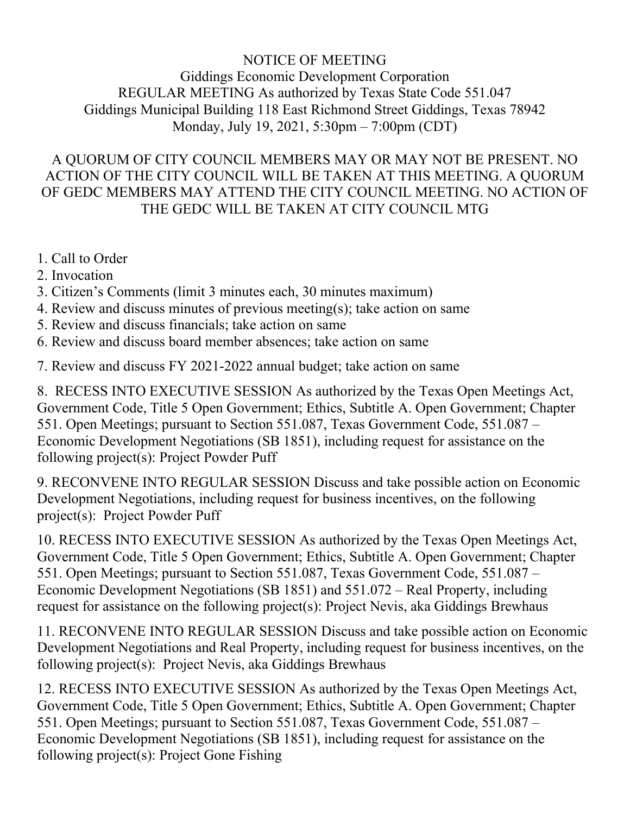## NOTICE OF MEETING Giddings Economic Development Corporation REGULAR MEETING As authorized by Texas State Code 551.047 Giddings Municipal Building 118 East Richmond Street Giddings, Texas 78942 Monday, July 19, 2021, 5:30pm – 7:00pm (CDT)

## A QUORUM OF CITY COUNCIL MEMBERS MAY OR MAY NOT BE PRESENT. NO ACTION OF THE CITY COUNCIL WILL BE TAKEN AT THIS MEETING. A QUORUM OF GEDC MEMBERS MAY ATTEND THE CITY COUNCIL MEETING. NO ACTION OF THE GEDC WILL BE TAKEN AT CITY COUNCIL MTG

- 1. Call to Order
- 2. Invocation
- 3. Citizen's Comments (limit 3 minutes each, 30 minutes maximum)
- 4. Review and discuss minutes of previous meeting(s); take action on same
- 5. Review and discuss financials; take action on same
- 6. Review and discuss board member absences; take action on same

7. Review and discuss FY 2021-2022 annual budget; take action on same

8. RECESS INTO EXECUTIVE SESSION As authorized by the Texas Open Meetings Act, Government Code, Title 5 Open Government; Ethics, Subtitle A. Open Government; Chapter 551. Open Meetings; pursuant to Section 551.087, Texas Government Code, 551.087 – Economic Development Negotiations (SB 1851), including request for assistance on the following project(s): Project Powder Puff

9. RECONVENE INTO REGULAR SESSION Discuss and take possible action on Economic Development Negotiations, including request for business incentives, on the following project(s): Project Powder Puff

10. RECESS INTO EXECUTIVE SESSION As authorized by the Texas Open Meetings Act, Government Code, Title 5 Open Government; Ethics, Subtitle A. Open Government; Chapter 551. Open Meetings; pursuant to Section 551.087, Texas Government Code, 551.087 – Economic Development Negotiations (SB 1851) and 551.072 – Real Property, including request for assistance on the following project(s): Project Nevis, aka Giddings Brewhaus

11. RECONVENE INTO REGULAR SESSION Discuss and take possible action on Economic Development Negotiations and Real Property, including request for business incentives, on the following project(s): Project Nevis, aka Giddings Brewhaus

12. RECESS INTO EXECUTIVE SESSION As authorized by the Texas Open Meetings Act, Government Code, Title 5 Open Government; Ethics, Subtitle A. Open Government; Chapter 551. Open Meetings; pursuant to Section 551.087, Texas Government Code, 551.087 – Economic Development Negotiations (SB 1851), including request for assistance on the following project(s): Project Gone Fishing